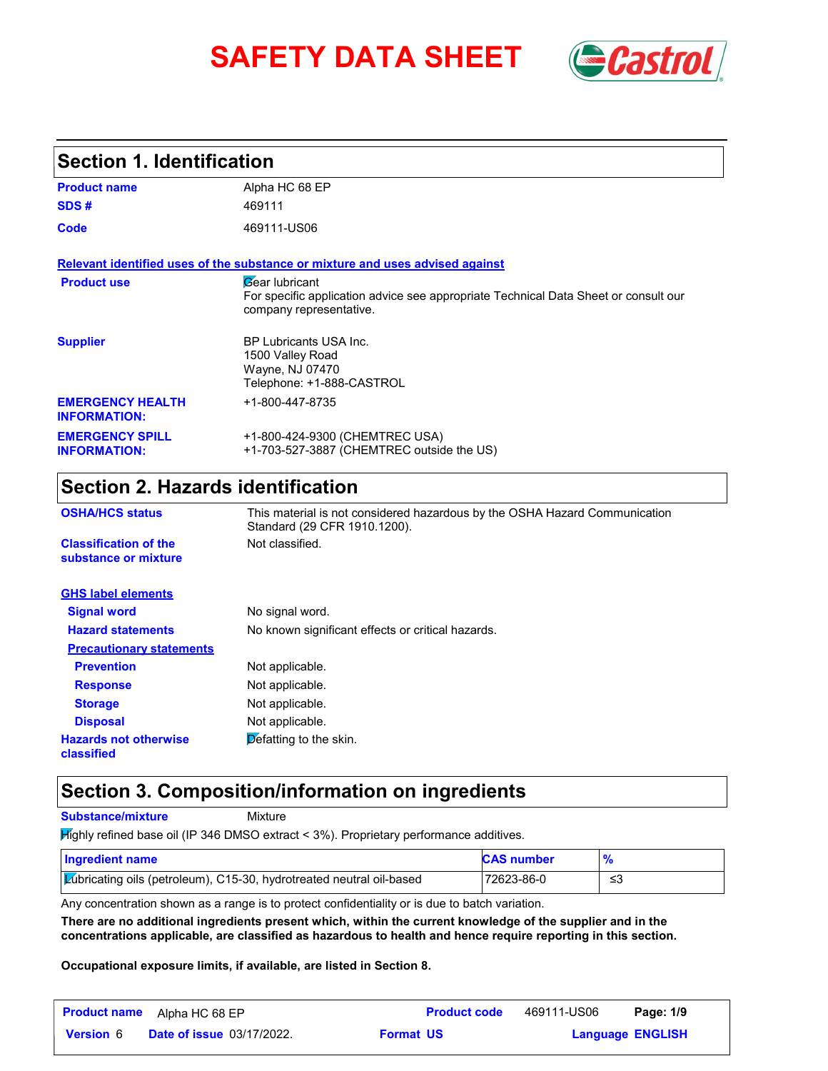# **SAFETY DATA SHEET** *Castrol*



## **Section 1. Identification**

| <b>Product name</b>                            | Alpha HC 68 EP                                                                                                                                 |
|------------------------------------------------|------------------------------------------------------------------------------------------------------------------------------------------------|
| SDS#                                           | 469111                                                                                                                                         |
| Code                                           | 469111-US06                                                                                                                                    |
|                                                | Relevant identified uses of the substance or mixture and uses advised against                                                                  |
| <b>Product use</b>                             | <b><i>Gear</i></b> lubricant<br>For specific application advice see appropriate Technical Data Sheet or consult our<br>company representative. |
| <b>Supplier</b>                                | <b>BP Lubricants USA Inc.</b><br>1500 Valley Road<br>Wayne, NJ 07470<br>Telephone: +1-888-CASTROL                                              |
| <b>EMERGENCY HEALTH</b><br><b>INFORMATION:</b> | +1-800-447-8735                                                                                                                                |
| <b>EMERGENCY SPILL</b><br><b>INFORMATION:</b>  | +1-800-424-9300 (CHEMTREC USA)<br>+1-703-527-3887 (CHEMTREC outside the US)                                                                    |

## **Section 2. Hazards identification**

| <b>OSHA/HCS status</b>                               | This material is not considered hazardous by the OSHA Hazard Communication<br>Standard (29 CFR 1910.1200). |
|------------------------------------------------------|------------------------------------------------------------------------------------------------------------|
| <b>Classification of the</b><br>substance or mixture | Not classified.                                                                                            |
| <b>GHS label elements</b>                            |                                                                                                            |
| <b>Signal word</b>                                   | No signal word.                                                                                            |
| <b>Hazard statements</b>                             | No known significant effects or critical hazards.                                                          |
| <b>Precautionary statements</b>                      |                                                                                                            |
| <b>Prevention</b>                                    | Not applicable.                                                                                            |
| <b>Response</b>                                      | Not applicable.                                                                                            |
| <b>Storage</b>                                       | Not applicable.                                                                                            |
| <b>Disposal</b>                                      | Not applicable.                                                                                            |
| <b>Hazards not otherwise</b><br>classified           | Defatting to the skin.                                                                                     |

## **Section 3. Composition/information on ingredients**

**Substance/mixture**

Mixture

Highly refined base oil (IP 346 DMSO extract < 3%). Proprietary performance additives.

| Ingredient name                                                             | <b>CAS number</b> |    |
|-----------------------------------------------------------------------------|-------------------|----|
| <b>Lubricating oils (petroleum), C15-30, hydrotreated neutral oil-based</b> | 72623-86-0        | ≤3 |

Any concentration shown as a range is to protect confidentiality or is due to batch variation.

**There are no additional ingredients present which, within the current knowledge of the supplier and in the concentrations applicable, are classified as hazardous to health and hence require reporting in this section.**

**Occupational exposure limits, if available, are listed in Section 8.**

| <b>Product name</b> | Alpha HC 68 EP                   |                  | <b>Product code</b> | 469111-US06 | Page: 1/9               |  |
|---------------------|----------------------------------|------------------|---------------------|-------------|-------------------------|--|
| <b>Version</b> 6    | <b>Date of issue 03/17/2022.</b> | <b>Format US</b> |                     |             | <b>Language ENGLISH</b> |  |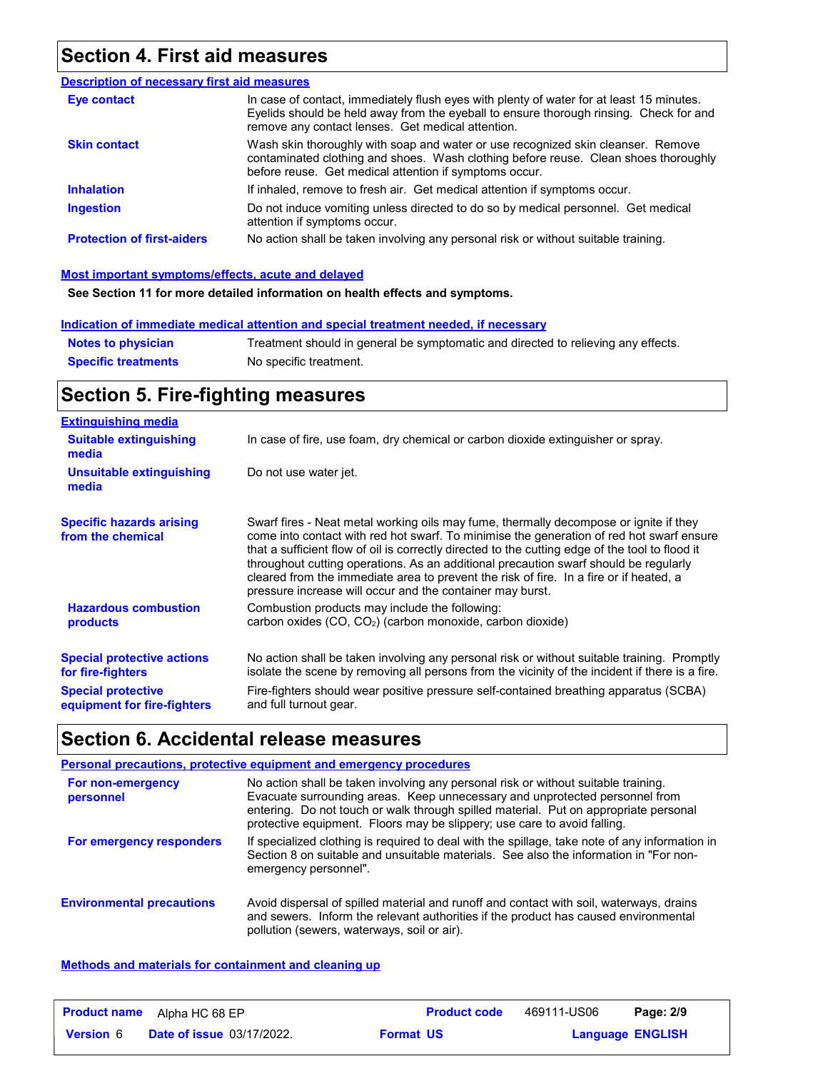## **Section 4. First aid measures**

| <b>Description of necessary first aid measures</b> |                                                                                                                                                                                                                                         |
|----------------------------------------------------|-----------------------------------------------------------------------------------------------------------------------------------------------------------------------------------------------------------------------------------------|
| Eye contact                                        | In case of contact, immediately flush eyes with plenty of water for at least 15 minutes.<br>Eyelids should be held away from the eyeball to ensure thorough rinsing. Check for and<br>remove any contact lenses. Get medical attention. |
| <b>Skin contact</b>                                | Wash skin thoroughly with soap and water or use recognized skin cleanser. Remove<br>contaminated clothing and shoes. Wash clothing before reuse. Clean shoes thoroughly<br>before reuse. Get medical attention if symptoms occur.       |
| <b>Inhalation</b>                                  | If inhaled, remove to fresh air. Get medical attention if symptoms occur.                                                                                                                                                               |
| <b>Ingestion</b>                                   | Do not induce vomiting unless directed to do so by medical personnel. Get medical<br>attention if symptoms occur.                                                                                                                       |
| <b>Protection of first-aiders</b>                  | No action shall be taken involving any personal risk or without suitable training.                                                                                                                                                      |

### **Most important symptoms/effects, acute and delayed**

**See Section 11 for more detailed information on health effects and symptoms.**

### **Indication of immediate medical attention and special treatment needed, if necessary**

| <b>Notes to physician</b>  | Treatment should in general be symptomatic and directed to relieving any effects. |
|----------------------------|-----------------------------------------------------------------------------------|
| <b>Specific treatments</b> | No specific treatment.                                                            |

## **Section 5. Fire-fighting measures**

| <b>Extinguishing media</b>                                                                                         |                                                                                                                                                                                                                                                                                                                                                                                                                                                                                                                                     |
|--------------------------------------------------------------------------------------------------------------------|-------------------------------------------------------------------------------------------------------------------------------------------------------------------------------------------------------------------------------------------------------------------------------------------------------------------------------------------------------------------------------------------------------------------------------------------------------------------------------------------------------------------------------------|
| <b>Suitable extinguishing</b><br>media                                                                             | In case of fire, use foam, dry chemical or carbon dioxide extinguisher or spray.                                                                                                                                                                                                                                                                                                                                                                                                                                                    |
| Unsuitable extinguishing<br>media                                                                                  | Do not use water jet.                                                                                                                                                                                                                                                                                                                                                                                                                                                                                                               |
| <b>Specific hazards arising</b><br>from the chemical                                                               | Swarf fires - Neat metal working oils may fume, thermally decompose or ignite if they<br>come into contact with red hot swarf. To minimise the generation of red hot swarf ensure<br>that a sufficient flow of oil is correctly directed to the cutting edge of the tool to flood it<br>throughout cutting operations. As an additional precaution swarf should be regularly<br>cleared from the immediate area to prevent the risk of fire. In a fire or if heated, a<br>pressure increase will occur and the container may burst. |
| <b>Hazardous combustion</b><br>products                                                                            | Combustion products may include the following:<br>carbon oxides (CO, CO <sub>2</sub> ) (carbon monoxide, carbon dioxide)                                                                                                                                                                                                                                                                                                                                                                                                            |
| <b>Special protective actions</b><br>for fire-fighters<br><b>Special protective</b><br>equipment for fire-fighters | No action shall be taken involving any personal risk or without suitable training. Promptly<br>isolate the scene by removing all persons from the vicinity of the incident if there is a fire.<br>Fire-fighters should wear positive pressure self-contained breathing apparatus (SCBA)<br>and full turnout gear.                                                                                                                                                                                                                   |

## **Section 6. Accidental release measures**

|                                  | Personal precautions, protective equipment and emergency procedures                                                                                                                                                                                                                                                                   |
|----------------------------------|---------------------------------------------------------------------------------------------------------------------------------------------------------------------------------------------------------------------------------------------------------------------------------------------------------------------------------------|
| For non-emergency<br>personnel   | No action shall be taken involving any personal risk or without suitable training.<br>Evacuate surrounding areas. Keep unnecessary and unprotected personnel from<br>entering. Do not touch or walk through spilled material. Put on appropriate personal<br>protective equipment. Floors may be slippery; use care to avoid falling. |
| For emergency responders         | If specialized clothing is required to deal with the spillage, take note of any information in<br>Section 8 on suitable and unsuitable materials. See also the information in "For non-<br>emergency personnel".                                                                                                                      |
| <b>Environmental precautions</b> | Avoid dispersal of spilled material and runoff and contact with soil, waterways, drains<br>and sewers. Inform the relevant authorities if the product has caused environmental<br>pollution (sewers, waterways, soil or air).                                                                                                         |

### **Methods and materials for containment and cleaning up**

| <b>Product name</b> | Alpha HC 68 EP                   | <b>Product code</b> | 469111-US06 | Page: 2/9               |
|---------------------|----------------------------------|---------------------|-------------|-------------------------|
| <b>Version</b> 6    | <b>Date of issue 03/17/2022.</b> | <b>Format US</b>    |             | <b>Language ENGLISH</b> |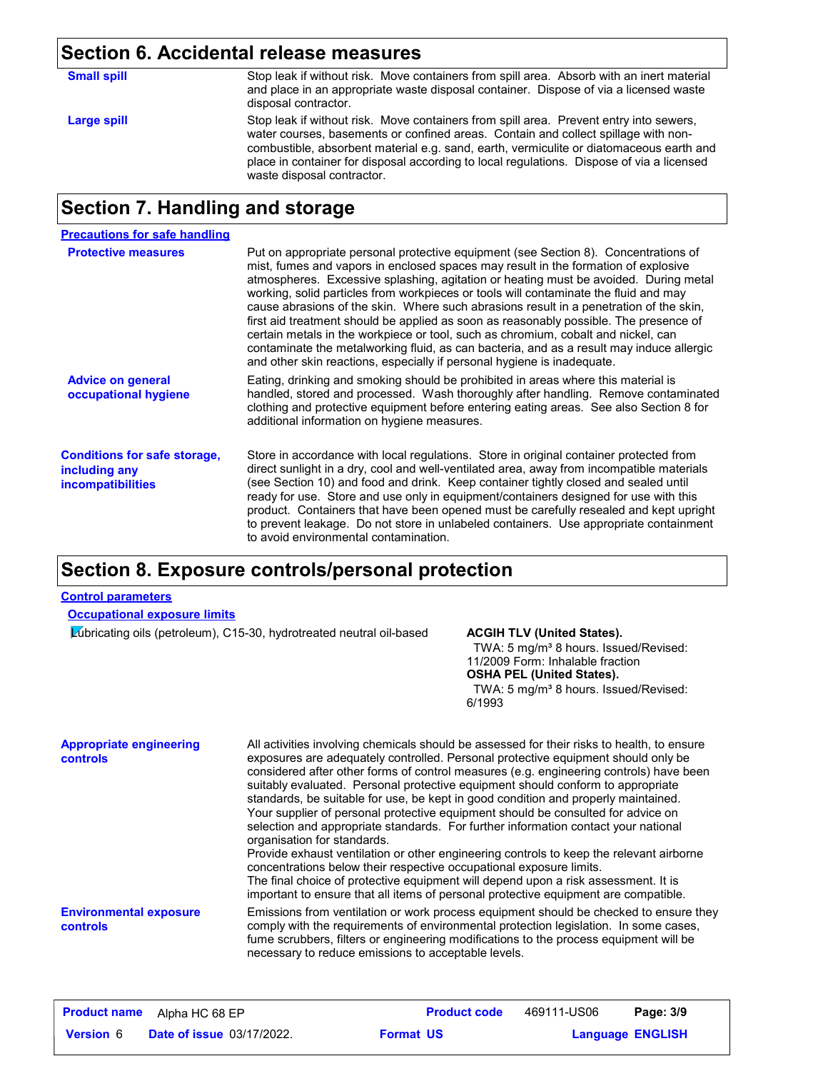## **Section 6. Accidental release measures**

| <b>Small spill</b> | Stop leak if without risk. Move containers from spill area. Absorb with an inert material<br>and place in an appropriate waste disposal container. Dispose of via a licensed waste<br>disposal contractor.                                                                                                                                                                                         |
|--------------------|----------------------------------------------------------------------------------------------------------------------------------------------------------------------------------------------------------------------------------------------------------------------------------------------------------------------------------------------------------------------------------------------------|
| Large spill        | Stop leak if without risk. Move containers from spill area. Prevent entry into sewers,<br>water courses, basements or confined areas. Contain and collect spillage with non-<br>combustible, absorbent material e.g. sand, earth, vermiculite or diatomaceous earth and<br>place in container for disposal according to local regulations. Dispose of via a licensed<br>waste disposal contractor. |

## **Section 7. Handling and storage**

| <b>Precautions for safe handling</b>                                             |                                                                                                                                                                                                                                                                                                                                                                                                                                                                                                                                                                                                                                                                                                                                                                                                          |
|----------------------------------------------------------------------------------|----------------------------------------------------------------------------------------------------------------------------------------------------------------------------------------------------------------------------------------------------------------------------------------------------------------------------------------------------------------------------------------------------------------------------------------------------------------------------------------------------------------------------------------------------------------------------------------------------------------------------------------------------------------------------------------------------------------------------------------------------------------------------------------------------------|
| <b>Protective measures</b>                                                       | Put on appropriate personal protective equipment (see Section 8). Concentrations of<br>mist, fumes and vapors in enclosed spaces may result in the formation of explosive<br>atmospheres. Excessive splashing, agitation or heating must be avoided. During metal<br>working, solid particles from workpieces or tools will contaminate the fluid and may<br>cause abrasions of the skin. Where such abrasions result in a penetration of the skin,<br>first aid treatment should be applied as soon as reasonably possible. The presence of<br>certain metals in the workpiece or tool, such as chromium, cobalt and nickel, can<br>contaminate the metalworking fluid, as can bacteria, and as a result may induce allergic<br>and other skin reactions, especially if personal hygiene is inadequate. |
| <b>Advice on general</b><br>occupational hygiene                                 | Eating, drinking and smoking should be prohibited in areas where this material is<br>handled, stored and processed. Wash thoroughly after handling. Remove contaminated<br>clothing and protective equipment before entering eating areas. See also Section 8 for<br>additional information on hygiene measures.                                                                                                                                                                                                                                                                                                                                                                                                                                                                                         |
| <b>Conditions for safe storage,</b><br>including any<br><b>incompatibilities</b> | Store in accordance with local regulations. Store in original container protected from<br>direct sunlight in a dry, cool and well-ventilated area, away from incompatible materials<br>(see Section 10) and food and drink. Keep container tightly closed and sealed until<br>ready for use. Store and use only in equipment/containers designed for use with this<br>product. Containers that have been opened must be carefully resealed and kept upright<br>to prevent leakage. Do not store in unlabeled containers. Use appropriate containment<br>to avoid environmental contamination.                                                                                                                                                                                                            |

## **Section 8. Exposure controls/personal protection**

### **Control parameters**

### **Occupational exposure limits**

Lubricating oils (petroleum), C15-30, hydrotreated neutral oil-based **ACGIH TLV (United States).**

TWA: 5 mg/m<sup>3</sup> 8 hours. Issued/Revised: 11/2009 Form: Inhalable fraction **OSHA PEL (United States).** TWA: 5 mg/m<sup>3</sup> 8 hours. Issued/Revised: 6/1993

| <b>Appropriate engineering</b><br>controls | All activities involving chemicals should be assessed for their risks to health, to ensure<br>exposures are adequately controlled. Personal protective equipment should only be<br>considered after other forms of control measures (e.g. engineering controls) have been<br>suitably evaluated. Personal protective equipment should conform to appropriate<br>standards, be suitable for use, be kept in good condition and properly maintained.<br>Your supplier of personal protective equipment should be consulted for advice on<br>selection and appropriate standards. For further information contact your national<br>organisation for standards.<br>Provide exhaust ventilation or other engineering controls to keep the relevant airborne<br>concentrations below their respective occupational exposure limits.<br>The final choice of protective equipment will depend upon a risk assessment. It is<br>important to ensure that all items of personal protective equipment are compatible. |
|--------------------------------------------|------------------------------------------------------------------------------------------------------------------------------------------------------------------------------------------------------------------------------------------------------------------------------------------------------------------------------------------------------------------------------------------------------------------------------------------------------------------------------------------------------------------------------------------------------------------------------------------------------------------------------------------------------------------------------------------------------------------------------------------------------------------------------------------------------------------------------------------------------------------------------------------------------------------------------------------------------------------------------------------------------------|
| <b>Environmental exposure</b><br>controls  | Emissions from ventilation or work process equipment should be checked to ensure they<br>comply with the requirements of environmental protection legislation. In some cases,<br>fume scrubbers, filters or engineering modifications to the process equipment will be<br>necessary to reduce emissions to acceptable levels.                                                                                                                                                                                                                                                                                                                                                                                                                                                                                                                                                                                                                                                                              |

| <b>Product name</b> | Alpha HC 68 EP                   |                  | <b>Product code</b> | 469111-US06             | Page: 3/9 |
|---------------------|----------------------------------|------------------|---------------------|-------------------------|-----------|
| <b>Version 6</b>    | <b>Date of issue 03/17/2022.</b> | <b>Format US</b> |                     | <b>Language ENGLISH</b> |           |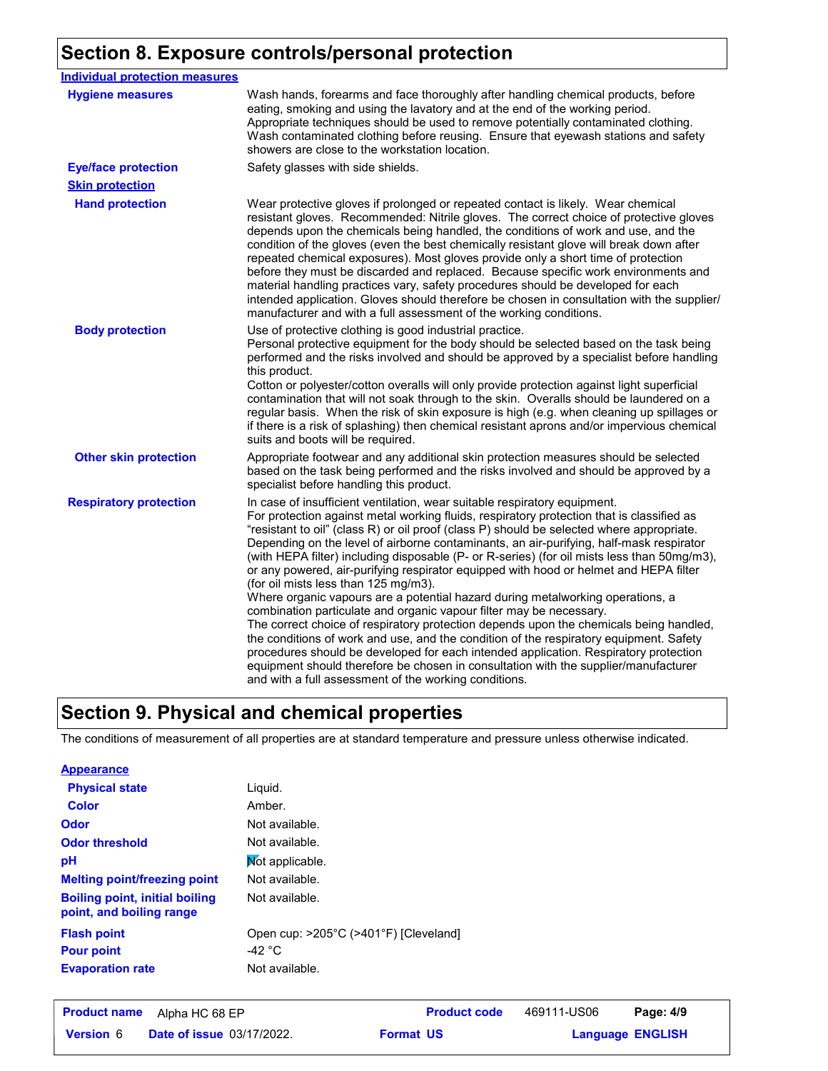# **Section 8. Exposure controls/personal protection**

| <b>Individual protection measures</b> |                                                                                                                                                                                                                                                                                                                                                                                                                                                                                                                                                                                                                                                                                                                                                                                                                                                                                                                                                                                                                                                                                                                                                                                     |
|---------------------------------------|-------------------------------------------------------------------------------------------------------------------------------------------------------------------------------------------------------------------------------------------------------------------------------------------------------------------------------------------------------------------------------------------------------------------------------------------------------------------------------------------------------------------------------------------------------------------------------------------------------------------------------------------------------------------------------------------------------------------------------------------------------------------------------------------------------------------------------------------------------------------------------------------------------------------------------------------------------------------------------------------------------------------------------------------------------------------------------------------------------------------------------------------------------------------------------------|
| <b>Hygiene measures</b>               | Wash hands, forearms and face thoroughly after handling chemical products, before<br>eating, smoking and using the lavatory and at the end of the working period.<br>Appropriate techniques should be used to remove potentially contaminated clothing.<br>Wash contaminated clothing before reusing. Ensure that eyewash stations and safety<br>showers are close to the workstation location.                                                                                                                                                                                                                                                                                                                                                                                                                                                                                                                                                                                                                                                                                                                                                                                     |
| <b>Eye/face protection</b>            | Safety glasses with side shields.                                                                                                                                                                                                                                                                                                                                                                                                                                                                                                                                                                                                                                                                                                                                                                                                                                                                                                                                                                                                                                                                                                                                                   |
| <b>Skin protection</b>                |                                                                                                                                                                                                                                                                                                                                                                                                                                                                                                                                                                                                                                                                                                                                                                                                                                                                                                                                                                                                                                                                                                                                                                                     |
| <b>Hand protection</b>                | Wear protective gloves if prolonged or repeated contact is likely. Wear chemical<br>resistant gloves. Recommended: Nitrile gloves. The correct choice of protective gloves<br>depends upon the chemicals being handled, the conditions of work and use, and the<br>condition of the gloves (even the best chemically resistant glove will break down after<br>repeated chemical exposures). Most gloves provide only a short time of protection<br>before they must be discarded and replaced. Because specific work environments and<br>material handling practices vary, safety procedures should be developed for each<br>intended application. Gloves should therefore be chosen in consultation with the supplier/<br>manufacturer and with a full assessment of the working conditions.                                                                                                                                                                                                                                                                                                                                                                                       |
| <b>Body protection</b>                | Use of protective clothing is good industrial practice.<br>Personal protective equipment for the body should be selected based on the task being<br>performed and the risks involved and should be approved by a specialist before handling<br>this product.<br>Cotton or polyester/cotton overalls will only provide protection against light superficial<br>contamination that will not soak through to the skin. Overalls should be laundered on a<br>regular basis. When the risk of skin exposure is high (e.g. when cleaning up spillages or<br>if there is a risk of splashing) then chemical resistant aprons and/or impervious chemical<br>suits and boots will be required.                                                                                                                                                                                                                                                                                                                                                                                                                                                                                               |
| <b>Other skin protection</b>          | Appropriate footwear and any additional skin protection measures should be selected<br>based on the task being performed and the risks involved and should be approved by a<br>specialist before handling this product.                                                                                                                                                                                                                                                                                                                                                                                                                                                                                                                                                                                                                                                                                                                                                                                                                                                                                                                                                             |
| <b>Respiratory protection</b>         | In case of insufficient ventilation, wear suitable respiratory equipment.<br>For protection against metal working fluids, respiratory protection that is classified as<br>"resistant to oil" (class R) or oil proof (class P) should be selected where appropriate.<br>Depending on the level of airborne contaminants, an air-purifying, half-mask respirator<br>(with HEPA filter) including disposable (P- or R-series) (for oil mists less than 50mg/m3),<br>or any powered, air-purifying respirator equipped with hood or helmet and HEPA filter<br>(for oil mists less than 125 mg/m3).<br>Where organic vapours are a potential hazard during metalworking operations, a<br>combination particulate and organic vapour filter may be necessary.<br>The correct choice of respiratory protection depends upon the chemicals being handled,<br>the conditions of work and use, and the condition of the respiratory equipment. Safety<br>procedures should be developed for each intended application. Respiratory protection<br>equipment should therefore be chosen in consultation with the supplier/manufacturer<br>and with a full assessment of the working conditions. |

## **Section 9. Physical and chemical properties**

The conditions of measurement of all properties are at standard temperature and pressure unless otherwise indicated.

| <b>Appearance</b>                                                 |                                       |
|-------------------------------------------------------------------|---------------------------------------|
| <b>Physical state</b>                                             | Liquid.                               |
| <b>Color</b>                                                      | Amber.                                |
| Odor                                                              | Not available.                        |
| <b>Odor threshold</b>                                             | Not available.                        |
| рH                                                                | Not applicable.                       |
| <b>Melting point/freezing point</b>                               | Not available.                        |
| <b>Boiling point, initial boiling</b><br>point, and boiling range | Not available.                        |
| <b>Flash point</b>                                                | Open cup: >205°C (>401°F) [Cleveland] |
| <b>Pour point</b>                                                 | -42 °C                                |
| <b>Evaporation rate</b>                                           | Not available.                        |

| <b>Product name</b> | Alpha HC 68 EP                   | <b>Product code</b> | 469111-US06 | Page: 4/9               |
|---------------------|----------------------------------|---------------------|-------------|-------------------------|
| <b>Version 6</b>    | <b>Date of issue 03/17/2022.</b> | <b>Format US</b>    |             | <b>Language ENGLISH</b> |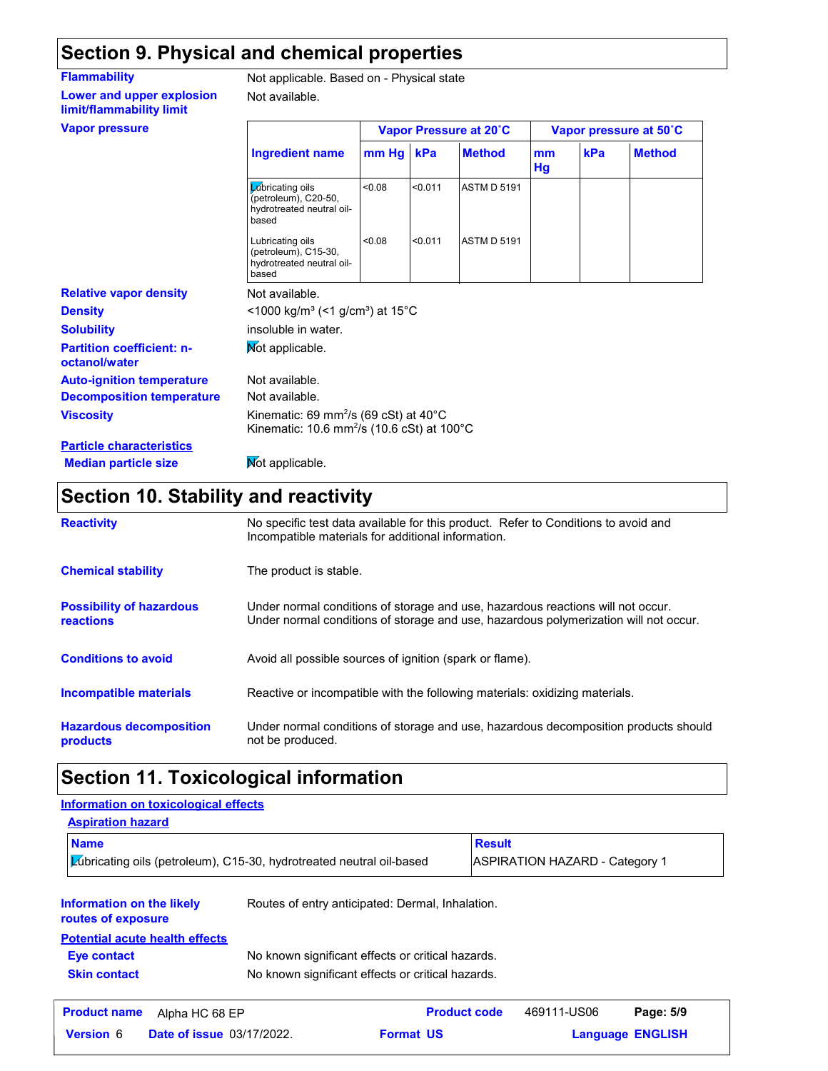## **Section 9. Physical and chemical properties**

Not available.

**Lower and upper explosion limit/flammability limit Vapor** 

**Flammability** Not applicable. Based on - Physical state

| <b>Vapor pressure</b>                             |                                                                                                                                  | Vapor Pressure at 20°C |         |                    | Vapor pressure at 50°C |     |               |
|---------------------------------------------------|----------------------------------------------------------------------------------------------------------------------------------|------------------------|---------|--------------------|------------------------|-----|---------------|
|                                                   | <b>Ingredient name</b>                                                                                                           | mm Hg                  | kPa     | <b>Method</b>      | mm<br>Hg               | kPa | <b>Method</b> |
|                                                   | Lubricating oils<br>(petroleum), C20-50,<br>hydrotreated neutral oil-<br>based                                                   | <0.08                  | < 0.011 | <b>ASTM D 5191</b> |                        |     |               |
|                                                   | Lubricating oils<br>(petroleum), C15-30,<br>hydrotreated neutral oil-<br>based                                                   | < 0.08                 | < 0.011 | <b>ASTM D 5191</b> |                        |     |               |
| <b>Relative vapor density</b>                     | Not available.                                                                                                                   |                        |         |                    |                        |     |               |
| <b>Density</b>                                    | $<$ 1000 kg/m <sup>3</sup> (<1 g/cm <sup>3</sup> ) at 15 <sup>°</sup> C                                                          |                        |         |                    |                        |     |               |
| <b>Solubility</b>                                 | insoluble in water.                                                                                                              |                        |         |                    |                        |     |               |
| <b>Partition coefficient: n-</b><br>octanol/water | Not applicable.                                                                                                                  |                        |         |                    |                        |     |               |
| <b>Auto-ignition temperature</b>                  | Not available.                                                                                                                   |                        |         |                    |                        |     |               |
| <b>Decomposition temperature</b>                  | Not available.                                                                                                                   |                        |         |                    |                        |     |               |
| <b>Viscosity</b>                                  | Kinematic: 69 mm <sup>2</sup> /s (69 cSt) at $40^{\circ}$ C<br>Kinematic: 10.6 mm <sup>2</sup> /s (10.6 cSt) at 100 $^{\circ}$ C |                        |         |                    |                        |     |               |
| <b>Particle characteristics</b>                   |                                                                                                                                  |                        |         |                    |                        |     |               |
| <b>Median particle size</b>                       | Mot applicable.                                                                                                                  |                        |         |                    |                        |     |               |

## **Section 10. Stability and reactivity**

| <b>Reactivity</b>                                   | No specific test data available for this product. Refer to Conditions to avoid and<br>Incompatible materials for additional information.                                |
|-----------------------------------------------------|-------------------------------------------------------------------------------------------------------------------------------------------------------------------------|
| <b>Chemical stability</b>                           | The product is stable.                                                                                                                                                  |
| <b>Possibility of hazardous</b><br><b>reactions</b> | Under normal conditions of storage and use, hazardous reactions will not occur.<br>Under normal conditions of storage and use, hazardous polymerization will not occur. |
| <b>Conditions to avoid</b>                          | Avoid all possible sources of ignition (spark or flame).                                                                                                                |
| <b>Incompatible materials</b>                       | Reactive or incompatible with the following materials: oxidizing materials.                                                                                             |
| <b>Hazardous decomposition</b><br><b>products</b>   | Under normal conditions of storage and use, hazardous decomposition products should<br>not be produced.                                                                 |

## **Section 11. Toxicological information**

### **Information on the likely routes of exposure Skin contact** No known significant effects or critical hazards. **Eye contact** No known significant effects or critical hazards. **Aspiration hazard Name Result** Lubricating oils (petroleum), C15-30, hydrotreated neutral oil-based ASPIRATION HAZARD - Category 1 Routes of entry anticipated: Dermal, Inhalation. **Potential acute health effects Information on toxicological effects Date of issue** 03/17/2022. **Format US Format DI Format DI FORM Product name** Alpha HC 68 EP **Product code** 469111-US06 **Page: 5/9 Language ENGLISH** 469111-US06 Page: 5/9 **Format US**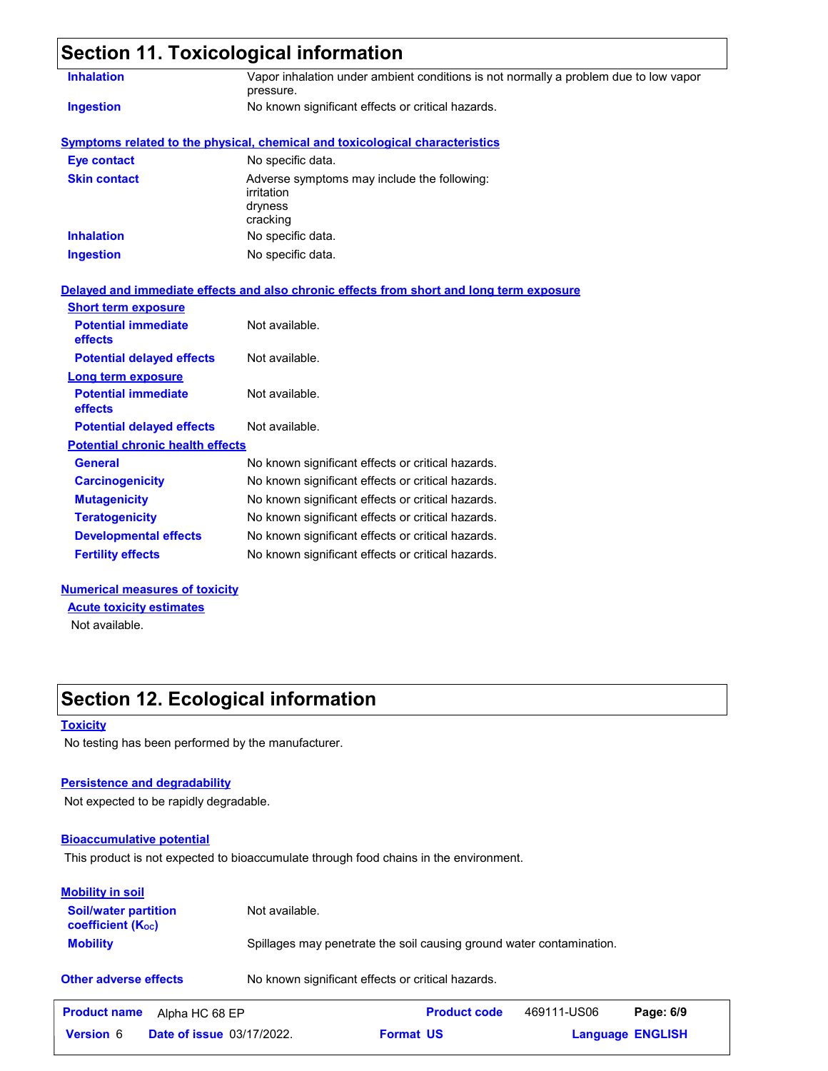|                                         | <b>Section 11. Toxicological information</b>                                                      |
|-----------------------------------------|---------------------------------------------------------------------------------------------------|
| <b>Inhalation</b>                       | Vapor inhalation under ambient conditions is not normally a problem due to low vapor<br>pressure. |
| <b>Ingestion</b>                        | No known significant effects or critical hazards.                                                 |
|                                         | <b>Symptoms related to the physical, chemical and toxicological characteristics</b>               |
| <b>Eye contact</b>                      | No specific data.                                                                                 |
| <b>Skin contact</b>                     | Adverse symptoms may include the following:<br>irritation<br>dryness<br>cracking                  |
| <b>Inhalation</b>                       | No specific data.                                                                                 |
| <b>Ingestion</b>                        | No specific data.                                                                                 |
| <b>Short term exposure</b>              | Delayed and immediate effects and also chronic effects from short and long term exposure          |
| <b>Potential immediate</b><br>effects   | Not available.                                                                                    |
| <b>Potential delayed effects</b>        | Not available.                                                                                    |
| Long term exposure                      |                                                                                                   |
| <b>Potential immediate</b><br>effects   | Not available.                                                                                    |
| <b>Potential delayed effects</b>        | Not available.                                                                                    |
| <b>Potential chronic health effects</b> |                                                                                                   |
| <b>General</b>                          | No known significant effects or critical hazards.                                                 |
| <b>Carcinogenicity</b>                  | No known significant effects or critical hazards.                                                 |
| <b>Mutagenicity</b>                     | No known significant effects or critical hazards.                                                 |
| <b>Teratogenicity</b>                   | No known significant effects or critical hazards.                                                 |
| <b>Developmental effects</b>            | No known significant effects or critical hazards.                                                 |
| <b>Fertility effects</b>                | No known significant effects or critical hazards.                                                 |
|                                         |                                                                                                   |

### **Numerical measures of toxicity** Not available. **Acute toxicity estimates**

# **Section 12. Ecological information**

### **Toxicity**

No testing has been performed by the manufacturer.

### **Persistence and degradability**

Not expected to be rapidly degradable.

### **Bioaccumulative potential**

This product is not expected to bioaccumulate through food chains in the environment.

| <b>Mobility in soil</b>                                 |                                                                      |
|---------------------------------------------------------|----------------------------------------------------------------------|
| <b>Soil/water partition</b><br><b>coefficient (Koc)</b> | Not available.                                                       |
| <b>Mobility</b>                                         | Spillages may penetrate the soil causing ground water contamination. |
| <b>Other adverse effects</b>                            | No known significant effects or critical hazards.                    |

| <b>Product name</b> | Alpha HC 68 EP                   | <b>Product code</b> | 469111-US06 | Page: 6/9               |
|---------------------|----------------------------------|---------------------|-------------|-------------------------|
| <b>Version 6</b>    | <b>Date of issue 03/17/2022.</b> | <b>Format US</b>    |             | <b>Language ENGLISH</b> |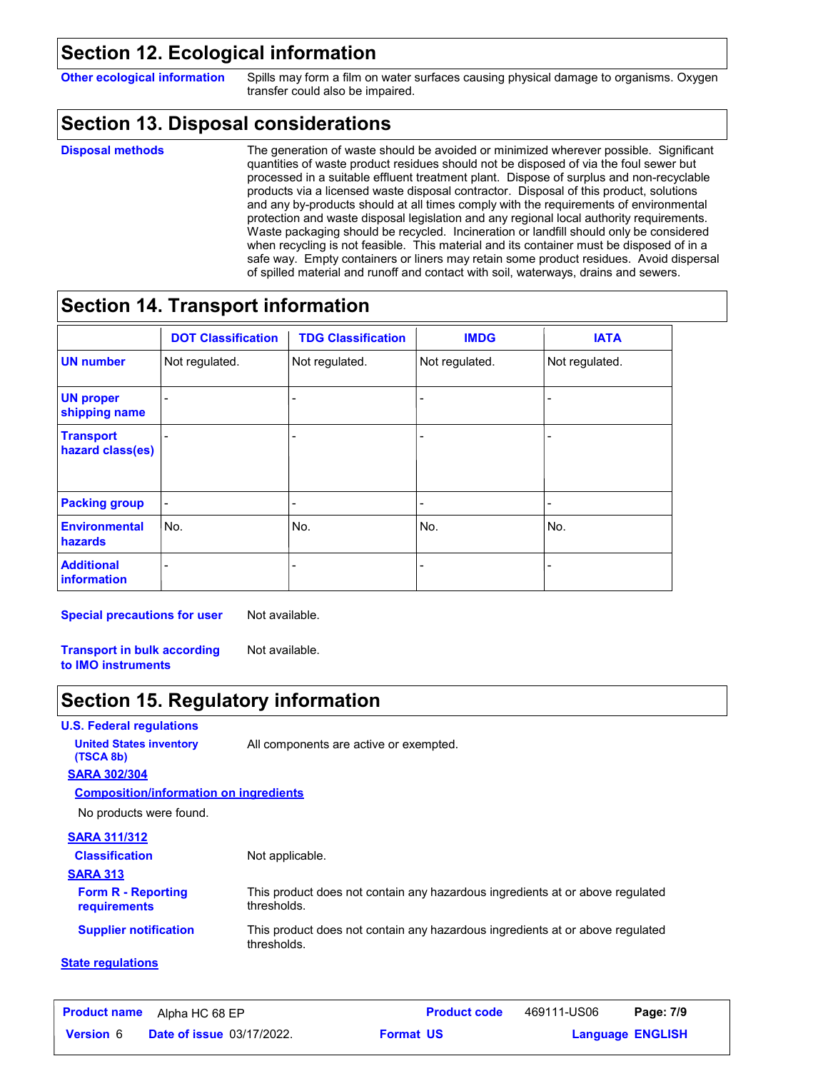## **Section 12. Ecological information**

**Other ecological information** Spills may form a film on water surfaces causing physical damage to organisms. Oxygen transfer could also be impaired.

## **Section 13. Disposal considerations**

#### **Disposal methods**

The generation of waste should be avoided or minimized wherever possible. Significant quantities of waste product residues should not be disposed of via the foul sewer but processed in a suitable effluent treatment plant. Dispose of surplus and non-recyclable products via a licensed waste disposal contractor. Disposal of this product, solutions and any by-products should at all times comply with the requirements of environmental protection and waste disposal legislation and any regional local authority requirements. Waste packaging should be recycled. Incineration or landfill should only be considered when recycling is not feasible. This material and its container must be disposed of in a safe way. Empty containers or liners may retain some product residues. Avoid dispersal of spilled material and runoff and contact with soil, waterways, drains and sewers.

## **Section 14. Transport information**

|                                         | <b>DOT Classification</b> | <b>TDG Classification</b> | <b>IMDG</b>              | <b>IATA</b>    |
|-----------------------------------------|---------------------------|---------------------------|--------------------------|----------------|
| <b>UN number</b>                        | Not regulated.            | Not regulated.            | Not regulated.           | Not regulated. |
| <b>UN proper</b><br>shipping name       |                           |                           |                          |                |
| <b>Transport</b><br>hazard class(es)    |                           |                           | $\overline{\phantom{0}}$ |                |
| <b>Packing group</b>                    | $\overline{a}$            | $\overline{\phantom{0}}$  | $\blacksquare$           |                |
| <b>Environmental</b><br><b>hazards</b>  | No.                       | No.                       | No.                      | No.            |
| <b>Additional</b><br><b>information</b> |                           |                           |                          |                |

**Special precautions for user** Not available.

**Transport in bulk according to IMO instruments** Not available.

## **Section 15. Regulatory information**

**U.S. Federal regulations**

**United States inventory** All components are active or exempted.

**SARA 302/304 (TSCA 8b)**

**Composition/information on ingredients**

No products were found.

### **SARA 311/312**

| <b>Classification</b>                            | Not applicable.                                                                              |
|--------------------------------------------------|----------------------------------------------------------------------------------------------|
| <b>SARA 313</b>                                  |                                                                                              |
| <b>Form R - Reporting</b><br><b>requirements</b> | This product does not contain any hazardous ingredients at or above regulated<br>thresholds. |
| <b>Supplier notification</b>                     | This product does not contain any hazardous ingredients at or above regulated<br>thresholds. |

### **State regulations**

| <b>Product name</b> | Alpha HC 68 EP                   | <b>Product code</b> | 469111-US06 | Page: 7/9               |
|---------------------|----------------------------------|---------------------|-------------|-------------------------|
| <b>Version</b> 6    | <b>Date of issue 03/17/2022.</b> | <b>Format US</b>    |             | <b>Language ENGLISH</b> |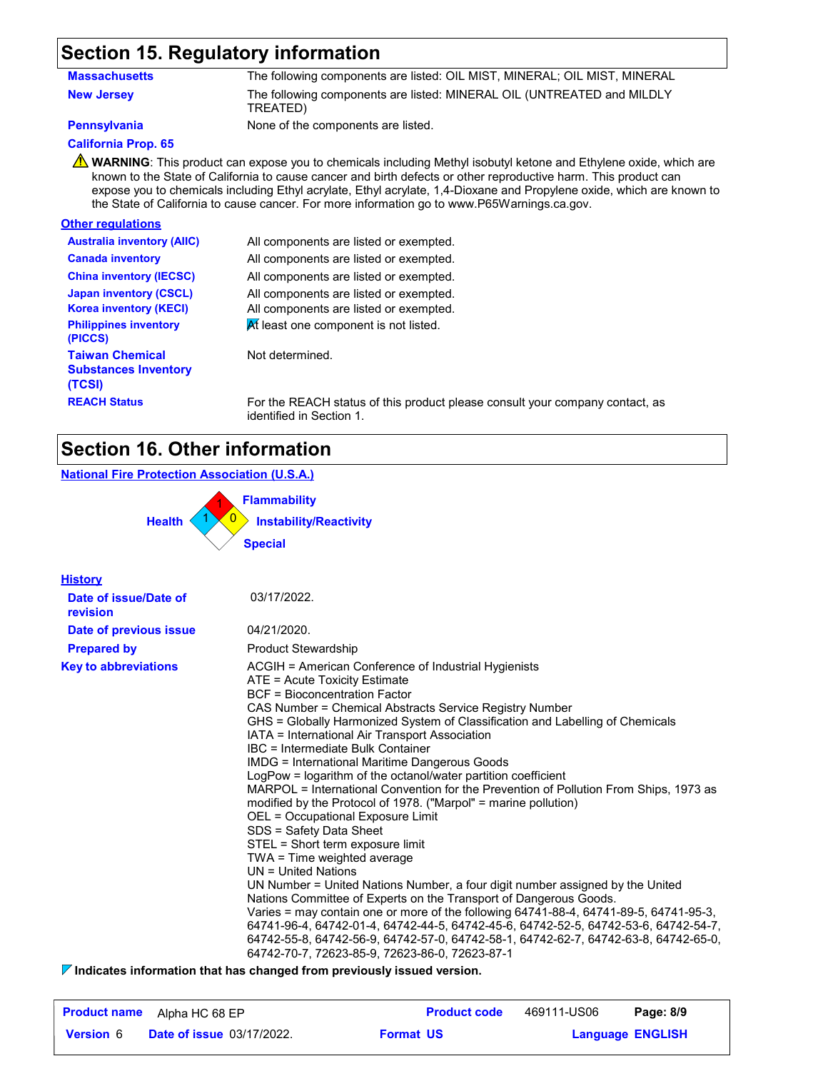## **Section 15. Regulatory information**

| <b>Massachusetts</b> | The following components are listed: OIL MIST, MINERAL; OIL MIST, MINERAL |
|----------------------|---------------------------------------------------------------------------|
| <b>New Jersey</b>    | The following components are listed: MINERAL OIL (UNTREATED and MILDLY    |
|                      | TREATED)                                                                  |

**Pennsylvania** None of the components are listed.

### **California Prop. 65**

**WARNING**: This product can expose you to chemicals including Methyl isobutyl ketone and Ethylene oxide, which are known to the State of California to cause cancer and birth defects or other reproductive harm. This product can expose you to chemicals including Ethyl acrylate, Ethyl acrylate, 1,4-Dioxane and Propylene oxide, which are known to the State of California to cause cancer. For more information go to www.P65Warnings.ca.gov.

### **Other regulations**

| <b>Australia inventory (AIIC)</b>                                                              | All components are listed or exempted.                                                                                    |
|------------------------------------------------------------------------------------------------|---------------------------------------------------------------------------------------------------------------------------|
| <b>Canada inventory</b>                                                                        | All components are listed or exempted.                                                                                    |
| <b>China inventory (IECSC)</b>                                                                 | All components are listed or exempted.                                                                                    |
| <b>Japan inventory (CSCL)</b><br><b>Korea inventory (KECI)</b><br><b>Philippines inventory</b> | All components are listed or exempted.<br>All components are listed or exempted.<br>At least one component is not listed. |
| (PICCS)                                                                                        |                                                                                                                           |
| <b>Taiwan Chemical</b><br><b>Substances Inventory</b><br>(TCSI)                                | Not determined.                                                                                                           |
| <b>REACH Status</b>                                                                            | For the REACH status of this product please                                                                               |

**REACH STATUS** Four company contact, as identified in Section 1.

## **Section 16. Other information**

### **National Fire Protection Association (U.S.A.)**

0 **Instability/Reactivity** 1 **Flammability**  $1 \times 0$ **Health Special**

| <b>History</b>                    |                                                                                                                                                                                                                                                                                                                                                                                                                                                                                                                                                                                                                                                                                                                                                                                                                                                                                                                                                                                                                                                                                                                                                                                                                                                                                                  |
|-----------------------------------|--------------------------------------------------------------------------------------------------------------------------------------------------------------------------------------------------------------------------------------------------------------------------------------------------------------------------------------------------------------------------------------------------------------------------------------------------------------------------------------------------------------------------------------------------------------------------------------------------------------------------------------------------------------------------------------------------------------------------------------------------------------------------------------------------------------------------------------------------------------------------------------------------------------------------------------------------------------------------------------------------------------------------------------------------------------------------------------------------------------------------------------------------------------------------------------------------------------------------------------------------------------------------------------------------|
| Date of issue/Date of<br>revision | 03/17/2022.                                                                                                                                                                                                                                                                                                                                                                                                                                                                                                                                                                                                                                                                                                                                                                                                                                                                                                                                                                                                                                                                                                                                                                                                                                                                                      |
| Date of previous issue            | 04/21/2020.                                                                                                                                                                                                                                                                                                                                                                                                                                                                                                                                                                                                                                                                                                                                                                                                                                                                                                                                                                                                                                                                                                                                                                                                                                                                                      |
| <b>Prepared by</b>                | <b>Product Stewardship</b>                                                                                                                                                                                                                                                                                                                                                                                                                                                                                                                                                                                                                                                                                                                                                                                                                                                                                                                                                                                                                                                                                                                                                                                                                                                                       |
| <b>Key to abbreviations</b>       | ACGIH = American Conference of Industrial Hygienists<br>ATE = Acute Toxicity Estimate<br><b>BCF</b> = Bioconcentration Factor<br>CAS Number = Chemical Abstracts Service Registry Number<br>GHS = Globally Harmonized System of Classification and Labelling of Chemicals<br>IATA = International Air Transport Association<br>IBC = Intermediate Bulk Container<br><b>IMDG = International Maritime Dangerous Goods</b><br>LogPow = logarithm of the octanol/water partition coefficient<br>MARPOL = International Convention for the Prevention of Pollution From Ships, 1973 as<br>modified by the Protocol of 1978. ("Marpol" = marine pollution)<br>OEL = Occupational Exposure Limit<br>SDS = Safety Data Sheet<br>STEL = Short term exposure limit<br>TWA = Time weighted average<br>$UN = United Nations$<br>UN Number = United Nations Number, a four digit number assigned by the United<br>Nations Committee of Experts on the Transport of Dangerous Goods.<br>Varies = may contain one or more of the following 64741-88-4, 64741-89-5, 64741-95-3,<br>64741-96-4, 64742-01-4, 64742-44-5, 64742-45-6, 64742-52-5, 64742-53-6, 64742-54-7,<br>64742-55-8, 64742-56-9, 64742-57-0, 64742-58-1, 64742-62-7, 64742-63-8, 64742-65-0,<br>64742-70-7, 72623-85-9, 72623-86-0, 72623-87-1 |

**Indicates information that has changed from previously issued version.**

| <b>Product name</b> | Alpha HC 68 EP                   |                  | <b>Product code</b> | 469111-US06             | Page: 8/9 |
|---------------------|----------------------------------|------------------|---------------------|-------------------------|-----------|
| <b>Version 6</b>    | <b>Date of issue 03/17/2022.</b> | <b>Format US</b> |                     | <b>Language ENGLISH</b> |           |